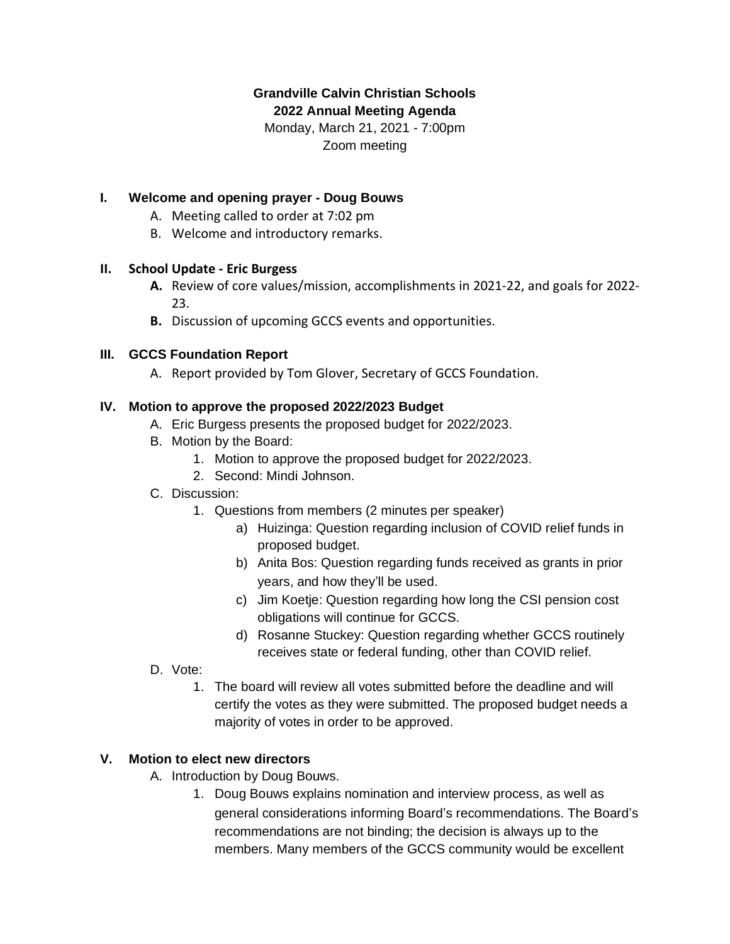# **Grandville Calvin Christian Schools**

**2022 Annual Meeting Agenda**

Monday, March 21, 2021 - 7:00pm Zoom meeting

## **I. Welcome and opening prayer - Doug Bouws**

- A. Meeting called to order at 7:02 pm
- B. Welcome and introductory remarks.

#### **II. School Update - Eric Burgess**

- **A.** Review of core values/mission, accomplishments in 2021-22, and goals for 2022- 23.
- **B.** Discussion of upcoming GCCS events and opportunities.

#### **III. GCCS Foundation Report**

A. Report provided by Tom Glover, Secretary of GCCS Foundation.

### **IV. Motion to approve the proposed 2022/2023 Budget**

- A. Eric Burgess presents the proposed budget for 2022/2023.
- B. Motion by the Board:
	- 1. Motion to approve the proposed budget for 2022/2023.
	- 2. Second: Mindi Johnson.
- C. Discussion:
	- 1. Questions from members (2 minutes per speaker)
		- a) Huizinga: Question regarding inclusion of COVID relief funds in proposed budget.
		- b) Anita Bos: Question regarding funds received as grants in prior years, and how they'll be used.
		- c) Jim Koetje: Question regarding how long the CSI pension cost obligations will continue for GCCS.
		- d) Rosanne Stuckey: Question regarding whether GCCS routinely receives state or federal funding, other than COVID relief.
- D. Vote:
	- 1. The board will review all votes submitted before the deadline and will certify the votes as they were submitted. The proposed budget needs a majority of votes in order to be approved.

#### **V. Motion to elect new directors**

- A. Introduction by Doug Bouws.
	- 1. Doug Bouws explains nomination and interview process, as well as general considerations informing Board's recommendations. The Board's recommendations are not binding; the decision is always up to the members. Many members of the GCCS community would be excellent